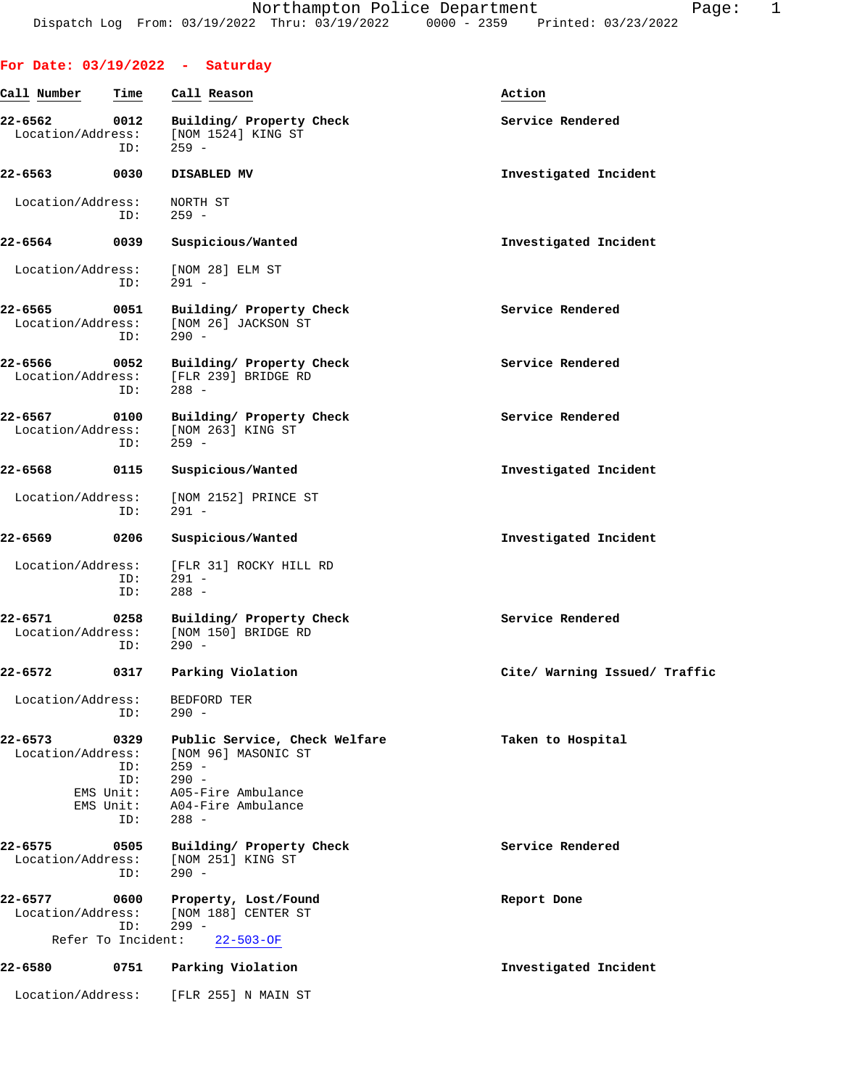|                                  |                                                     | For Date: $03/19/2022 - Saturday$                                                                                                 |                               |
|----------------------------------|-----------------------------------------------------|-----------------------------------------------------------------------------------------------------------------------------------|-------------------------------|
| Call Number                      | Time                                                | Call Reason                                                                                                                       | Action                        |
| 22-6562<br>Location/Address:     | 0012<br>ID:                                         | Building/ Property Check<br>[NOM 1524] KING ST<br>$259 -$                                                                         | Service Rendered              |
| $22 - 6563$                      | 0030                                                | DISABLED MV                                                                                                                       | Investigated Incident         |
| Location/Address:                | ID:                                                 | NORTH ST<br>$259 -$                                                                                                               |                               |
| 22-6564                          | 0039                                                | Suspicious/Wanted                                                                                                                 | Investigated Incident         |
| Location/Address:                | ID:                                                 | [NOM 28] ELM ST<br>$291 -$                                                                                                        |                               |
| $22 - 6565$<br>Location/Address: | 0051<br>ID:                                         | Building/ Property Check<br>[NOM 26] JACKSON ST<br>$290 -$                                                                        | Service Rendered              |
| 22-6566<br>Location/Address:     | 0052<br>ID:                                         | Building/ Property Check<br>[FLR 239] BRIDGE RD<br>$288 -$                                                                        | Service Rendered              |
| 22-6567<br>Location/Address:     | 0100<br>ID:                                         | Building/ Property Check<br>[NOM 263] KING ST<br>$259 -$                                                                          | Service Rendered              |
| 22-6568                          | 0115                                                | Suspicious/Wanted                                                                                                                 | Investigated Incident         |
| Location/Address:                | ID:                                                 | [NOM 2152] PRINCE ST<br>$291 -$                                                                                                   |                               |
| 22-6569                          | 0206                                                | Suspicious/Wanted                                                                                                                 | Investigated Incident         |
| Location/Address:                | ID:<br>ID:                                          | [FLR 31] ROCKY HILL RD<br>$291 -$<br>$288 -$                                                                                      |                               |
| $22 - 6571$                      | 0258<br>ID:                                         | Building/ Property Check<br>Location/Address: [NOM 150] BRIDGE RD<br>$290 -$                                                      | Service Rendered              |
| 22-6572                          |                                                     | 0317 Parking Violation                                                                                                            | Cite/ Warning Issued/ Traffic |
| Location/Address:                | ID:                                                 | BEDFORD TER<br>$290 -$                                                                                                            |                               |
| 22-6573<br>Location/Address:     | 0329<br>ID:<br>ID:<br>EMS Unit:<br>EMS Unit:<br>ID: | Public Service, Check Welfare<br>[NOM 96] MASONIC ST<br>$259 -$<br>$290 -$<br>A05-Fire Ambulance<br>A04-Fire Ambulance<br>$288 -$ | Taken to Hospital             |
| 22-6575<br>Location/Address:     | 0505<br>ID:                                         | Building/ Property Check<br>[NOM 251] KING ST<br>$290 -$                                                                          | Service Rendered              |
| 22-6577<br>Location/Address:     | 0600                                                | Property, Lost/Found<br>[NOM 188] CENTER ST                                                                                       | Report Done                   |
| Refer To Incident:               | ID:                                                 | $299 -$<br>$22 - 503 - OF$                                                                                                        |                               |
| 22-6580                          | 0751                                                | Parking Violation                                                                                                                 | Investigated Incident         |
| Location/Address:                |                                                     | [FLR 255] N MAIN ST                                                                                                               |                               |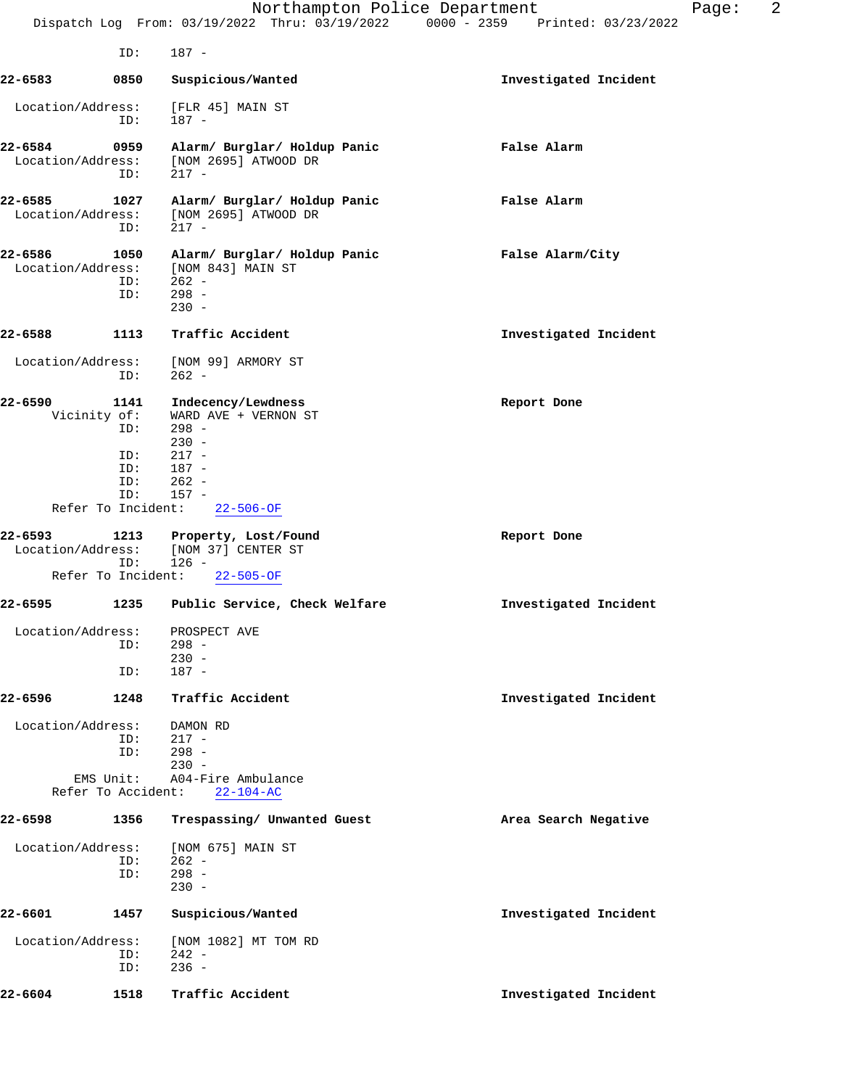|                              |                                                                               | Northampton Police Department<br>Dispatch Log From: 03/19/2022 Thru: 03/19/2022 0000 - 2359 Printed: 03/23/2022                 |                       | Page: | 2 |
|------------------------------|-------------------------------------------------------------------------------|---------------------------------------------------------------------------------------------------------------------------------|-----------------------|-------|---|
|                              | ID:                                                                           | $187 -$                                                                                                                         |                       |       |   |
| 22-6583                      | 0850                                                                          | Suspicious/Wanted                                                                                                               | Investigated Incident |       |   |
| Location/Address:            | ID:                                                                           | [FLR 45] MAIN ST<br>$187 -$                                                                                                     |                       |       |   |
| 22-6584<br>Location/Address: | 0959<br>ID:                                                                   | Alarm/ Burglar/ Holdup Panic<br>[NOM 2695] ATWOOD DR<br>$217 -$                                                                 | False Alarm           |       |   |
| 22-6585<br>Location/Address: | 1027<br>ID:                                                                   | Alarm/ Burglar/ Holdup Panic<br>[NOM 2695] ATWOOD DR<br>$217 -$                                                                 | False Alarm           |       |   |
| 22-6586<br>Location/Address: | 1050<br>ID:<br>ID:                                                            | Alarm/ Burglar/ Holdup Panic<br>[NOM 843] MAIN ST<br>$262 -$<br>$298 -$<br>$230 -$                                              | False Alarm/City      |       |   |
| 22-6588                      | 1113                                                                          | Traffic Accident                                                                                                                | Investigated Incident |       |   |
| Location/Address:            | ID:                                                                           | [NOM 99] ARMORY ST<br>$262 -$                                                                                                   |                       |       |   |
| 22-6590                      | 1141<br>Vicinity of:<br>ID:<br>ID:<br>ID:<br>ID:<br>ID:<br>Refer To Incident: | Indecency/Lewdness<br>WARD AVE + VERNON ST<br>$298 -$<br>$230 -$<br>$217 -$<br>$187 -$<br>$262 -$<br>$157 -$<br>$22 - 506 - OF$ | Report Done           |       |   |
| 22-6593<br>Location/Address: | 1213<br>ID:                                                                   | Property, Lost/Found<br>[NOM 37] CENTER ST<br>$126 -$                                                                           | Report Done           |       |   |
|                              | Refer To Incident:                                                            | $22 - 505 - OF$                                                                                                                 |                       |       |   |
| 22-6595                      | 1235                                                                          | Public Service, Check Welfare                                                                                                   | Investigated Incident |       |   |
| Location/Address:            | ID:<br>ID:                                                                    | PROSPECT AVE<br>$298 -$<br>$230 -$<br>$187 -$                                                                                   |                       |       |   |
| 22-6596                      | 1248                                                                          | Traffic Accident                                                                                                                | Investigated Incident |       |   |
| Location/Address:            | ID:<br>ID:<br>EMS Unit:<br>Refer To Accident:                                 | DAMON RD<br>$217 -$<br>$298 -$<br>$230 -$<br>A04-Fire Ambulance<br>$22 - 104 - AC$                                              |                       |       |   |
| 22-6598                      | 1356                                                                          | Trespassing/ Unwanted Guest                                                                                                     | Area Search Negative  |       |   |
| Location/Address:            | ID:<br>ID:                                                                    | [NOM 675] MAIN ST<br>$262 -$<br>$298 -$<br>$230 -$                                                                              |                       |       |   |
| 22-6601                      | 1457                                                                          | Suspicious/Wanted                                                                                                               | Investigated Incident |       |   |
| Location/Address:            | ID:<br>ID:                                                                    | [NOM 1082] MT TOM RD<br>$242 -$<br>$236 -$                                                                                      |                       |       |   |
| 22-6604                      | 1518                                                                          | Traffic Accident                                                                                                                | Investigated Incident |       |   |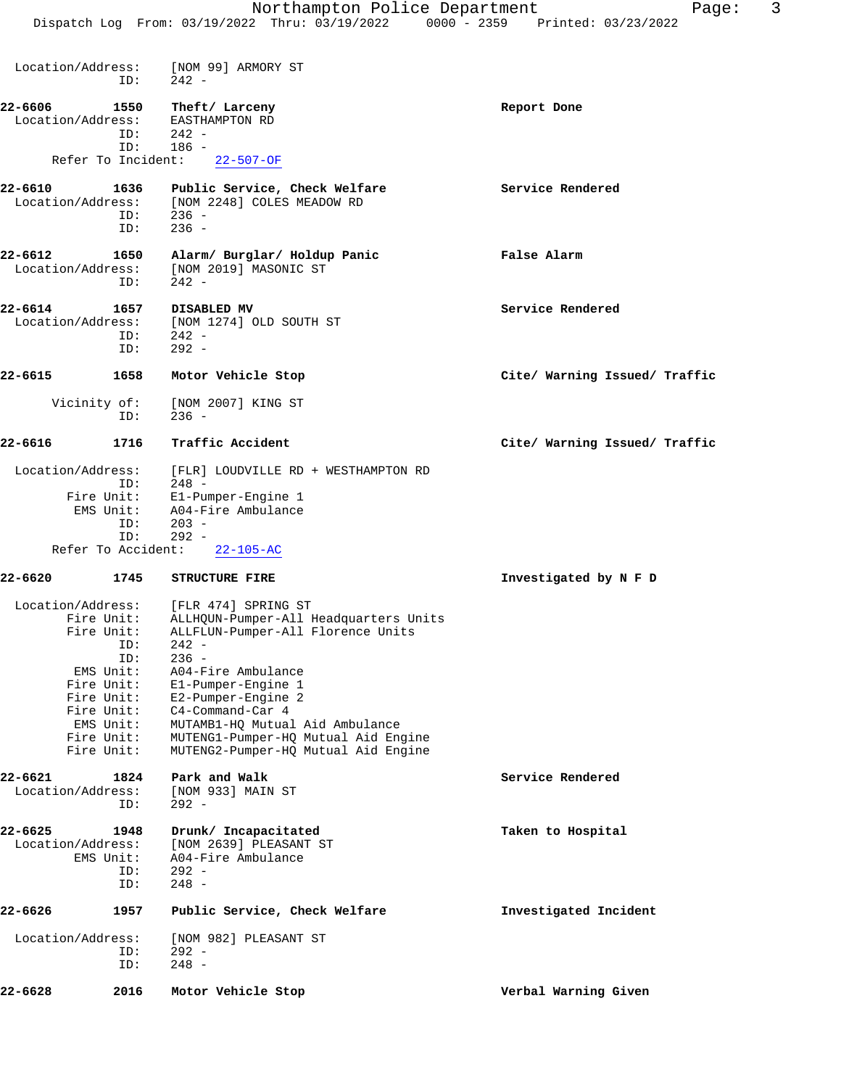Location/Address: [NOM 99] ARMORY ST ID: 242 - **22-6606 1550 Theft/Larceny Report Done**<br>
Location/Address: EASTHAMPTON RD Location/Address: ID: 242 - ID: 186 - Refer To Incident: 22-507-OF **22-6610 1636 Public Service, Check Welfare Service Rendered** Location/Address: [NOM 2248] COLES MEADOW RD ID: 236 - ID: 236 - **22-6612 1650 Alarm/ Burglar/ Holdup Panic False Alarm** Location/Address: [NOM 2019] MASONIC ST ID: 242 - **22-6614 1657 DISABLED MV Service Rendered** Location/Address: [NOM 1274] OLD SOUTH ST ID: 242 -<br>ID: 292 -292 -**22-6615 1658 Motor Vehicle Stop Cite/ Warning Issued/ Traffic** Vicinity of: [NOM 2007] KING ST ID: 236 - **22-6616 1716 Traffic Accident Cite/ Warning Issued/ Traffic** Location/Address: [FLR] LOUDVILLE RD + WESTHAMPTON RD ID: 248 - Fire Unit: E1-Pumper-Engine 1 EMS Unit: A04-Fire Ambulance<br>ID: 203 - $203 -$  ID: 292 - Refer To Accident: 22-105-AC **22-6620 1745 STRUCTURE FIRE Investigated by N F D** Location/Address: [FLR 474] SPRING ST Fire Unit: ALLHQUN-Pumper-All Headquarters Units<br>Fire Unit: ALLFLUN-Pumper-All Florence Units nit: ALLFLUN-Pumper-All Florence Units<br>ID: 242 - ID: 242 - ID: 236 -<br>EMS Unit: A04-F A04-Fire Ambulance Fire Unit: E1-Pumper-Engine 1 Fire Unit: E2-Pumper-Engine 2<br>Fire Unit: C4-Command-Car 4 Fire Unit: C4-Command-Car 4 EMS Unit: MUTAMB1-HQ Mutual Aid Ambulance Fire Unit: MUTENG1-Pumper-HQ Mutual Aid Engine Fire Unit: MUTENG2-Pumper-HQ Mutual Aid Engine **22-6621 1824 Park and Walk Service Rendered** Service Rendered Location/Address: [NOM 933] MAIN ST Location/Address: ID: 292 - **22-6625 1948 Drunk/ Incapacitated Taken to Hospital** Location/Address: [NOM 2639] PLEASANT ST EMS Unit: A04-Fire Ambulance<br>ID: 292 - ID: 292 - ID: 248 - **22-6626 1957 Public Service, Check Welfare Investigated Incident** Location/Address: [NOM 982] PLEASANT ST ID: 292 -<br>ID: 248 - $248 -$ 

**22-6628 2016 Motor Vehicle Stop Verbal Warning Given**